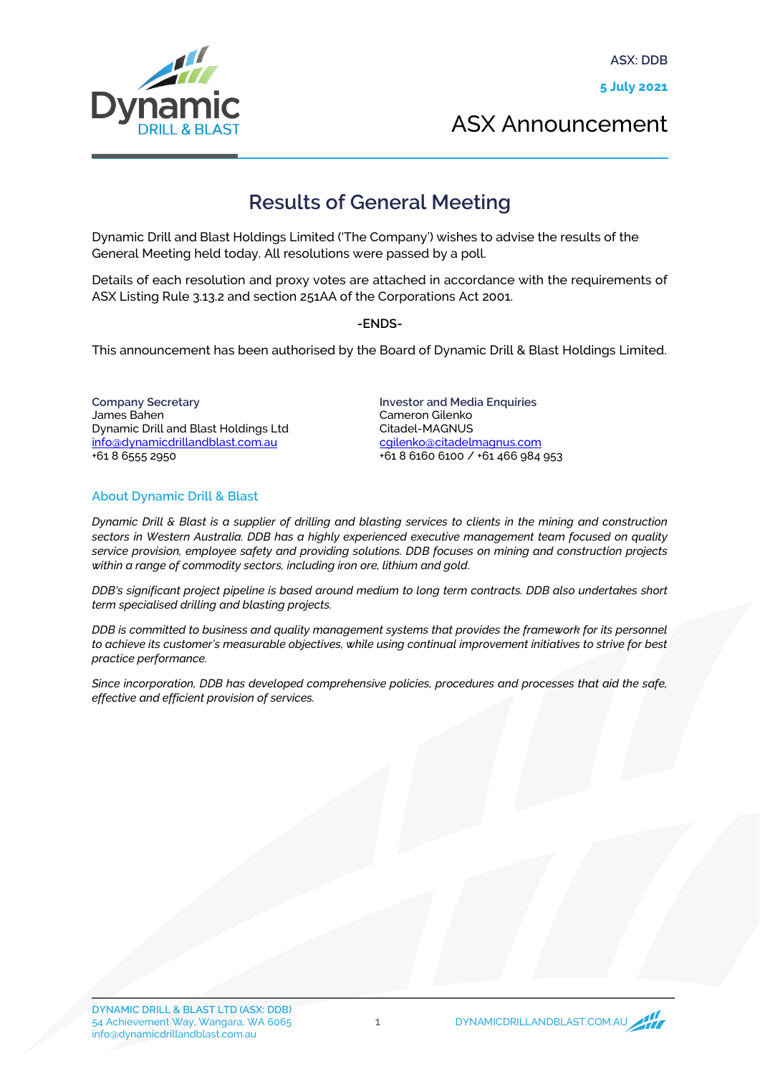

ASX Announcement

## **Results of General Meeting**

Dynamic Drill and Blast Holdings Limited ('The Company') wishes to advise the results of the General Meeting held today. All resolutions were passed by a poll.

Details of each resolution and proxy votes are attached in accordance with the requirements of ASX Listing Rule 3.13.2 and section 251AA of the Corporations Act 2001.

-ENDS-

This announcement has been authorised by the Board of Dynamic Drill & Blast Holdings Limited.

Company Secretary James Bahen Dynamic Drill and Blast Holdings Ltd info@dynamicdrillandblast.com.au +61 8 6555 2950

Investor and Media Enquiries Cameron Gilenko Citadel-MAGNUS [cgilenko@citadelmagnus.com](mailto:cgilenko@citadelmagnus.com) +61 8 6160 6100 / +61 466 984 953

## About Dynamic Drill & Blast

*Dynamic Drill & Blast is a supplier of drilling and blasting services to clients in the mining and construction sectors in Western Australia. DDB has a highly experienced executive management team focused on quality service provision, employee safety and providing solutions. DDB focuses on mining and construction projects within a range of commodity sectors, including iron ore, lithium and gold.*

*DDB's significant project pipeline is based around medium to long term contracts. DDB also undertakes short term specialised drilling and blasting projects.*

*DDB is committed to business and quality management systems that provides the framework for its personnel to achieve its customer's measurable objectives, while using continual improvement initiatives to strive for best practice performance.*

*Since incorporation, DDB has developed comprehensive policies, procedures and processes that aid the safe, effective and efficient provision of services.*

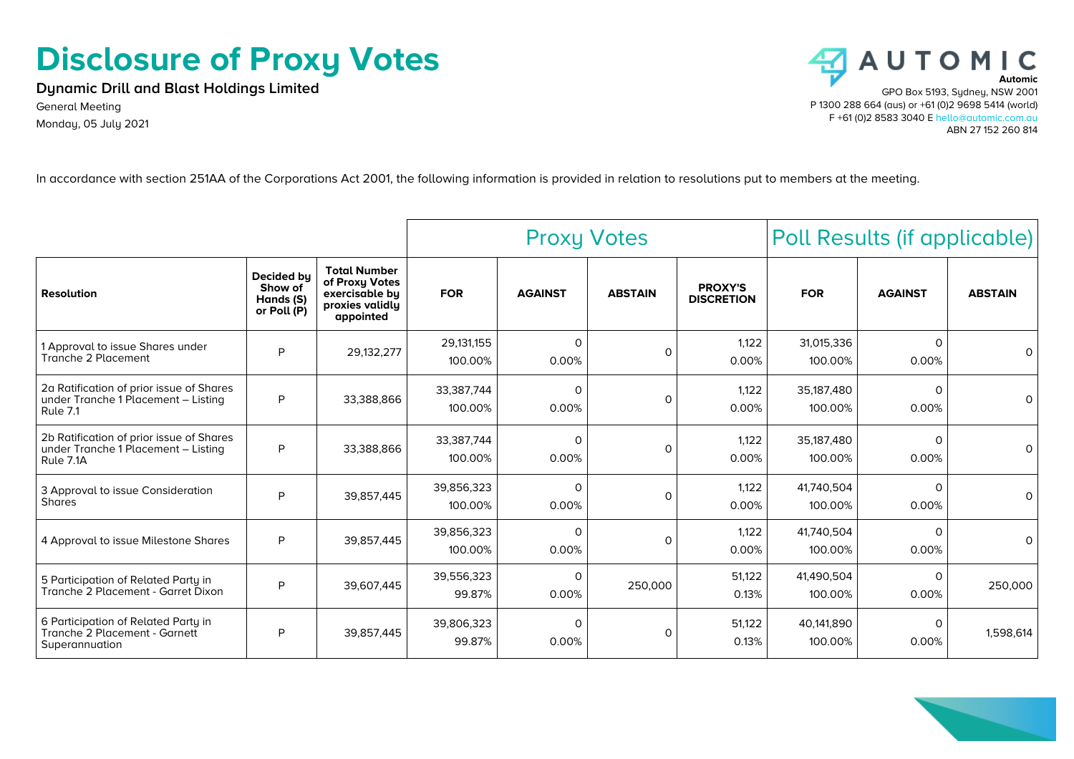## **Disclosure of Proxy Votes**

**Dynamic Drill and Blast Holdings Limited**

General Meeting Monday, 05 July 2021



In accordance with section 251AA of the Corporations Act 2001, the following information is provided in relation to resolutions put to members at the meeting.

|                                                                                              |                                                   |                                                                                         | <b>Proxy Votes</b>    |                   |                | Poll Results (if applicable)        |                       |                   |                |
|----------------------------------------------------------------------------------------------|---------------------------------------------------|-----------------------------------------------------------------------------------------|-----------------------|-------------------|----------------|-------------------------------------|-----------------------|-------------------|----------------|
| <b>Resolution</b>                                                                            | Decided by<br>Show of<br>Hands (S)<br>or Poll (P) | <b>Total Number</b><br>of Proxy Votes<br>exercisable by<br>proxies validly<br>appointed | <b>FOR</b>            | <b>AGAINST</b>    | <b>ABSTAIN</b> | <b>PROXY'S</b><br><b>DISCRETION</b> | <b>FOR</b>            | <b>AGAINST</b>    | <b>ABSTAIN</b> |
| 1 Approval to issue Shares under<br>Tranche 2 Placement                                      | P                                                 | 29,132,277                                                                              | 29,131,155<br>100.00% | $\Omega$<br>0.00% | $\circ$        | 1,122<br>0.00%                      | 31,015,336<br>100.00% | $\Omega$<br>0.00% | $\Omega$       |
| 2a Ratification of prior issue of Shares<br>under Tranche 1 Placement - Listing<br>Rule 7.1  | P                                                 | 33,388,866                                                                              | 33,387,744<br>100.00% | $\Omega$<br>0.00% | $\circ$        | 1,122<br>0.00%                      | 35,187,480<br>100.00% | $\Omega$<br>0.00% | $\Omega$       |
| 2b Ratification of prior issue of Shares<br>under Tranche 1 Placement - Listing<br>Rule 7.1A | P                                                 | 33,388,866                                                                              | 33,387,744<br>100.00% | $\Omega$<br>0.00% | $\Omega$       | 1,122<br>0.00%                      | 35,187,480<br>100.00% | $\Omega$<br>0.00% | $\Omega$       |
| 3 Approval to issue Consideration<br><b>Shares</b>                                           | P                                                 | 39,857,445                                                                              | 39,856,323<br>100.00% | $\Omega$<br>0.00% | $\Omega$       | 1,122<br>0.00%                      | 41,740,504<br>100.00% | $\Omega$<br>0.00% | $\Omega$       |
| 4 Approval to issue Milestone Shares                                                         | P                                                 | 39,857,445                                                                              | 39,856,323<br>100.00% | $\Omega$<br>0.00% | $\Omega$       | 1,122<br>0.00%                      | 41,740,504<br>100.00% | $\Omega$<br>0.00% | $\Omega$       |
| 5 Participation of Related Party in<br>Tranche 2 Placement - Garret Dixon                    | P                                                 | 39,607,445                                                                              | 39,556,323<br>99.87%  | 0<br>0.00%        | 250,000        | 51,122<br>0.13%                     | 41,490,504<br>100.00% | $\Omega$<br>0.00% | 250,000        |
| 6 Participation of Related Party in<br>Tranche 2 Placement - Garnett<br>Superannuation       | P                                                 | 39,857,445                                                                              | 39,806,323<br>99.87%  | 0<br>0.00%        | $\Omega$       | 51,122<br>0.13%                     | 40.141.890<br>100.00% | $\Omega$<br>0.00% | 1,598,614      |